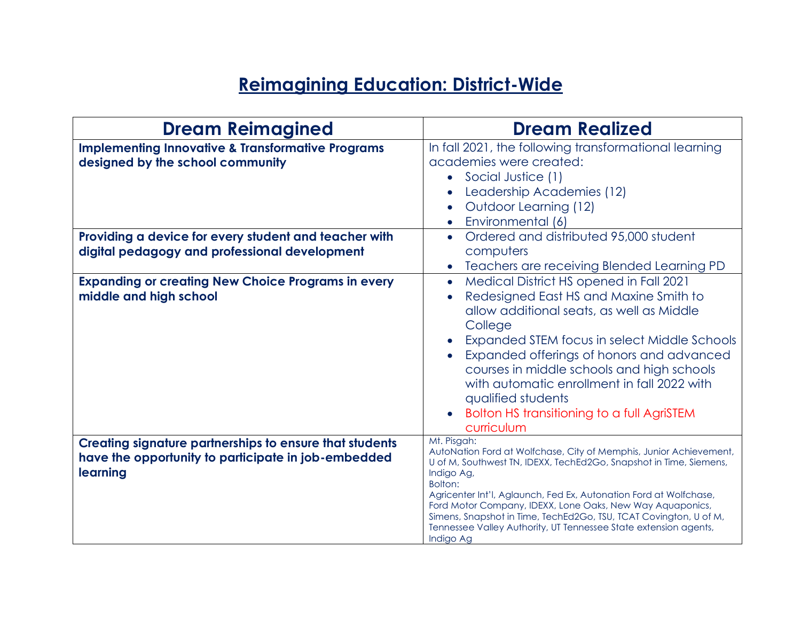# **Reimagining Education: District-Wide**

| <b>Dream Reimagined</b>                                                                                                           | <b>Dream Realized</b>                                                                                                                                                                                                                                                                                                                                                                                                                                                    |
|-----------------------------------------------------------------------------------------------------------------------------------|--------------------------------------------------------------------------------------------------------------------------------------------------------------------------------------------------------------------------------------------------------------------------------------------------------------------------------------------------------------------------------------------------------------------------------------------------------------------------|
| <b>Implementing Innovative &amp; Transformative Programs</b><br>designed by the school community                                  | In fall 2021, the following transformational learning<br>academies were created:<br>• Social Justice (1)<br>Leadership Academies (12)<br>Outdoor Learning (12)<br>Environmental (6)                                                                                                                                                                                                                                                                                      |
| Providing a device for every student and teacher with<br>digital pedagogy and professional development                            | Ordered and distributed 95,000 student<br>computers<br>Teachers are receiving Blended Learning PD                                                                                                                                                                                                                                                                                                                                                                        |
| <b>Expanding or creating New Choice Programs in every</b><br>middle and high school                                               | Medical District HS opened in Fall 2021<br>Redesigned East HS and Maxine Smith to<br>allow additional seats, as well as Middle<br>College<br>Expanded STEM focus in select Middle Schools<br>Expanded offerings of honors and advanced<br>courses in middle schools and high schools<br>with automatic enrollment in fall 2022 with<br>qualified students<br>Bolton HS transitioning to a full AgriSTEM<br>curriculum                                                    |
| <b>Creating signature partnerships to ensure that students</b><br>have the opportunity to participate in job-embedded<br>learning | Mt. Pisgah:<br>AutoNation Ford at Wolfchase, City of Memphis, Junior Achievement,<br>U of M, Southwest TN, IDEXX, TechEd2Go, Snapshot in Time, Siemens,<br>Indigo Ag,<br>Bolton:<br>Agricenter Int'l, Aglaunch, Fed Ex, Autonation Ford at Wolfchase,<br>Ford Motor Company, IDEXX, Lone Oaks, New Way Aquaponics,<br>Simens, Snapshot in Time, TechEd2Go, TSU, TCAT Covington, U of M,<br>Tennessee Valley Authority, UT Tennessee State extension agents,<br>Indigo Ag |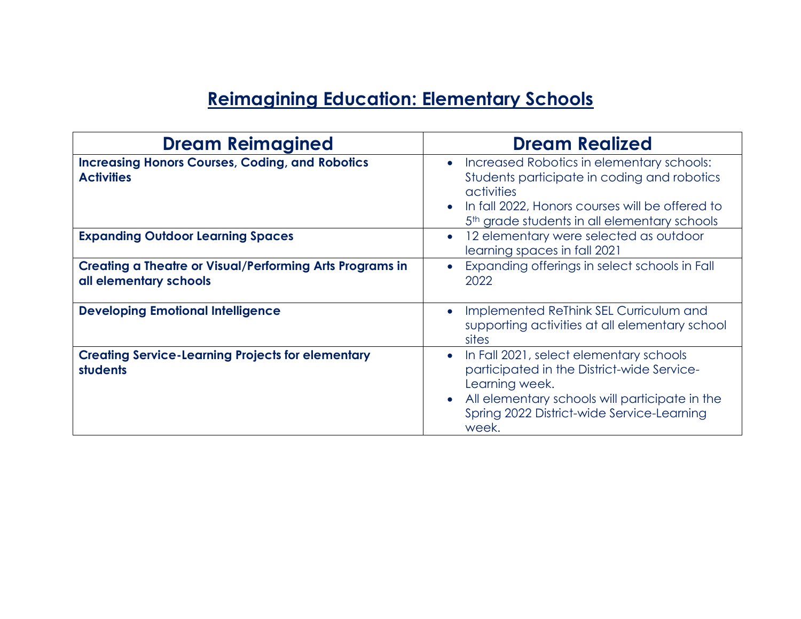## **Reimagining Education: Elementary Schools**

| <b>Dream Reimagined</b>                                                                   | <b>Dream Realized</b>                                                                                                                                                                                                 |
|-------------------------------------------------------------------------------------------|-----------------------------------------------------------------------------------------------------------------------------------------------------------------------------------------------------------------------|
| <b>Increasing Honors Courses, Coding, and Robotics</b><br><b>Activities</b>               | Increased Robotics in elementary schools:<br>Students participate in coding and robotics<br>activities<br>In fall 2022, Honors courses will be offered to<br>5 <sup>th</sup> grade students in all elementary schools |
| <b>Expanding Outdoor Learning Spaces</b>                                                  | 12 elementary were selected as outdoor<br>learning spaces in fall 2021                                                                                                                                                |
| <b>Creating a Theatre or Visual/Performing Arts Programs in</b><br>all elementary schools | Expanding offerings in select schools in Fall<br>2022                                                                                                                                                                 |
| <b>Developing Emotional Intelligence</b>                                                  | Implemented ReThink SEL Curriculum and<br>supporting activities at all elementary school<br>sites                                                                                                                     |
| <b>Creating Service-Learning Projects for elementary</b><br><b>students</b>               | In Fall 2021, select elementary schools<br>participated in the District-wide Service-<br>Learning week.<br>All elementary schools will participate in the<br>Spring 2022 District-wide Service-Learning<br>week.      |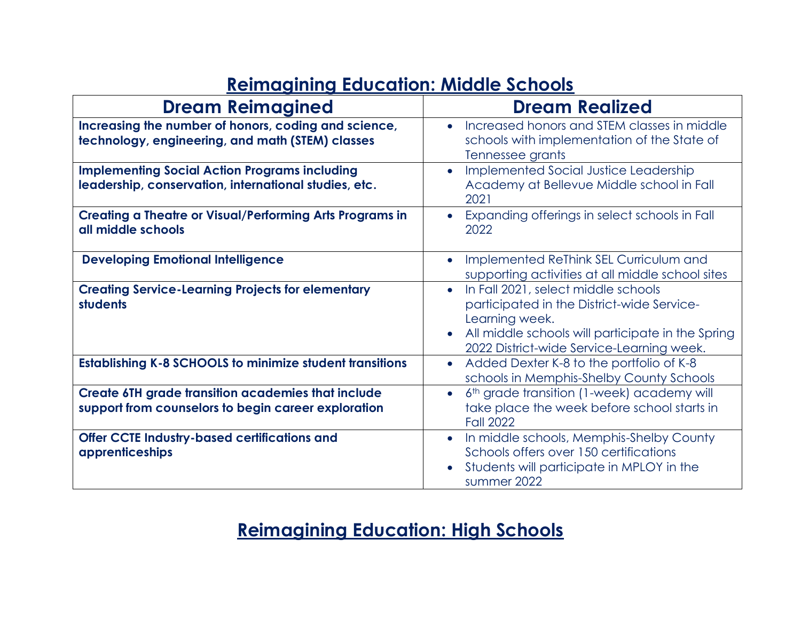#### **Reimagining Education: Middle Schools**

| <b>Dream Reimagined</b>                                                                                          | <b>Dream Realized</b>                                                                                                                                                                                 |
|------------------------------------------------------------------------------------------------------------------|-------------------------------------------------------------------------------------------------------------------------------------------------------------------------------------------------------|
| Increasing the number of honors, coding and science,<br>technology, engineering, and math (STEM) classes         | Increased honors and STEM classes in middle<br>schools with implementation of the State of<br>Tennessee grants                                                                                        |
| <b>Implementing Social Action Programs including</b><br>leadership, conservation, international studies, etc.    | Implemented Social Justice Leadership<br>Academy at Bellevue Middle school in Fall<br>2021                                                                                                            |
| <b>Creating a Theatre or Visual/Performing Arts Programs in</b><br>all middle schools                            | Expanding offerings in select schools in Fall<br>2022                                                                                                                                                 |
| <b>Developing Emotional Intelligence</b>                                                                         | Implemented ReThink SEL Curriculum and<br>supporting activities at all middle school sites                                                                                                            |
| <b>Creating Service-Learning Projects for elementary</b><br>students                                             | In Fall 2021, select middle schools<br>participated in the District-wide Service-<br>Learning week.<br>All middle schools will participate in the Spring<br>2022 District-wide Service-Learning week. |
| <b>Establishing K-8 SCHOOLS to minimize student transitions</b>                                                  | Added Dexter K-8 to the portfolio of K-8<br>schools in Memphis-Shelby County Schools                                                                                                                  |
| <b>Create 6TH grade transition academies that include</b><br>support from counselors to begin career exploration | 6th grade transition (1-week) academy will<br>$\bullet$<br>take place the week before school starts in<br><b>Fall 2022</b>                                                                            |
| <b>Offer CCTE Industry-based certifications and</b><br>apprenticeships                                           | In middle schools, Memphis-Shelby County<br>Schools offers over 150 certifications<br>Students will participate in MPLOY in the<br>summer 2022                                                        |

### **Reimagining Education: High Schools**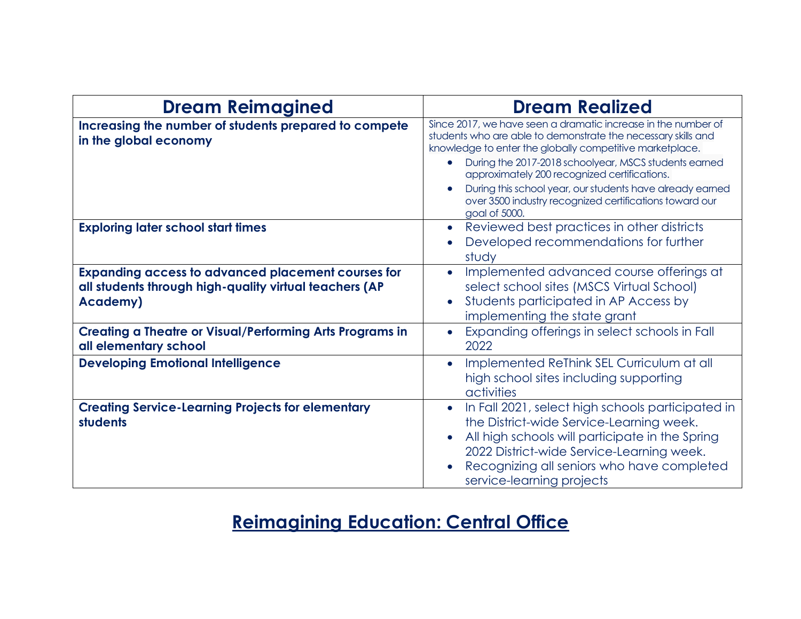| <b>Dream Reimagined</b>                                                                                                                 | <b>Dream Realized</b>                                                                                                                                                                                                                                                                                                                                                                                                                        |
|-----------------------------------------------------------------------------------------------------------------------------------------|----------------------------------------------------------------------------------------------------------------------------------------------------------------------------------------------------------------------------------------------------------------------------------------------------------------------------------------------------------------------------------------------------------------------------------------------|
| Increasing the number of students prepared to compete<br>in the global economy                                                          | Since 2017, we have seen a dramatic increase in the number of<br>students who are able to demonstrate the necessary skills and<br>knowledge to enter the globally competitive marketplace.<br>During the 2017-2018 schoolyear, MSCS students earned<br>approximately 200 recognized certifications.<br>During this school year, our students have already earned<br>over 3500 industry recognized certifications toward our<br>goal of 5000. |
| <b>Exploring later school start times</b>                                                                                               | Reviewed best practices in other districts<br>$\bullet$<br>Developed recommendations for further<br>study                                                                                                                                                                                                                                                                                                                                    |
| <b>Expanding access to advanced placement courses for</b><br>all students through high-quality virtual teachers (AP<br><b>Academy</b> ) | Implemented advanced course offerings at<br>select school sites (MSCS Virtual School)<br>Students participated in AP Access by<br>implementing the state grant                                                                                                                                                                                                                                                                               |
| <b>Creating a Theatre or Visual/Performing Arts Programs in</b><br>all elementary school                                                | Expanding offerings in select schools in Fall<br>2022                                                                                                                                                                                                                                                                                                                                                                                        |
| <b>Developing Emotional Intelligence</b>                                                                                                | Implemented ReThink SEL Curriculum at all<br>high school sites including supporting<br>activities                                                                                                                                                                                                                                                                                                                                            |
| <b>Creating Service-Learning Projects for elementary</b><br>students                                                                    | In Fall 2021, select high schools participated in<br>$\bullet$<br>the District-wide Service-Learning week.<br>All high schools will participate in the Spring<br>2022 District-wide Service-Learning week.<br>Recognizing all seniors who have completed<br>service-learning projects                                                                                                                                                        |

## **Reimagining Education: Central Office**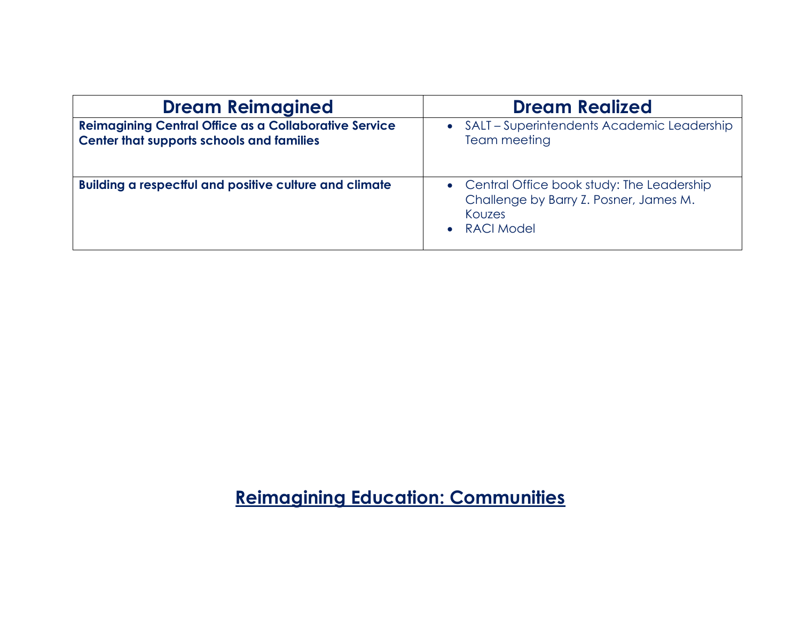| <b>Dream Reimagined</b>                                                                                   | <b>Dream Realized</b>                                                                                                |
|-----------------------------------------------------------------------------------------------------------|----------------------------------------------------------------------------------------------------------------------|
| <b>Reimagining Central Office as a Collaborative Service</b><br>Center that supports schools and families | • SALT – Superintendents Academic Leadership<br>Team meeting                                                         |
| <b>Building a respectful and positive culture and climate</b>                                             | • Central Office book study: The Leadership<br>Challenge by Barry Z. Posner, James M.<br>Kouzes<br><b>RACI Model</b> |

**Reimagining Education: Communities**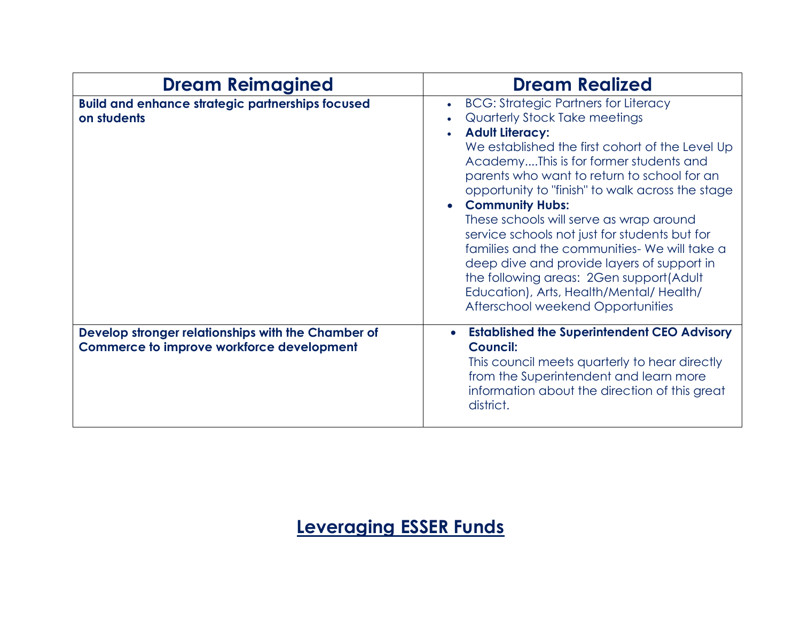| <b>Dream Reimagined</b>                                                                                | <b>Dream Realized</b>                                                                                                                                                                                                                                                                                                                                                                                                                                                                                                                                                                                                                                 |
|--------------------------------------------------------------------------------------------------------|-------------------------------------------------------------------------------------------------------------------------------------------------------------------------------------------------------------------------------------------------------------------------------------------------------------------------------------------------------------------------------------------------------------------------------------------------------------------------------------------------------------------------------------------------------------------------------------------------------------------------------------------------------|
| <b>Build and enhance strategic partnerships focused</b><br>on students                                 | <b>BCG: Strategic Partners for Literacy</b><br>Quarterly Stock Take meetings<br><b>Adult Literacy:</b><br>We established the first cohort of the Level Up<br>AcademyThis is for former students and<br>parents who want to return to school for an<br>opportunity to "finish" to walk across the stage<br><b>Community Hubs:</b><br>These schools will serve as wrap around<br>service schools not just for students but for<br>families and the communities- We will take a<br>deep dive and provide layers of support in<br>the following areas: 2Gen support(Adult<br>Education), Arts, Health/Mental/Health/<br>Afterschool weekend Opportunities |
| Develop stronger relationships with the Chamber of<br><b>Commerce to improve workforce development</b> | <b>Established the Superintendent CEO Advisory</b><br>$\bullet$<br><b>Council:</b><br>This council meets quarterly to hear directly<br>from the Superintendent and learn more<br>information about the direction of this great<br>district.                                                                                                                                                                                                                                                                                                                                                                                                           |

**Leveraging ESSER Funds**